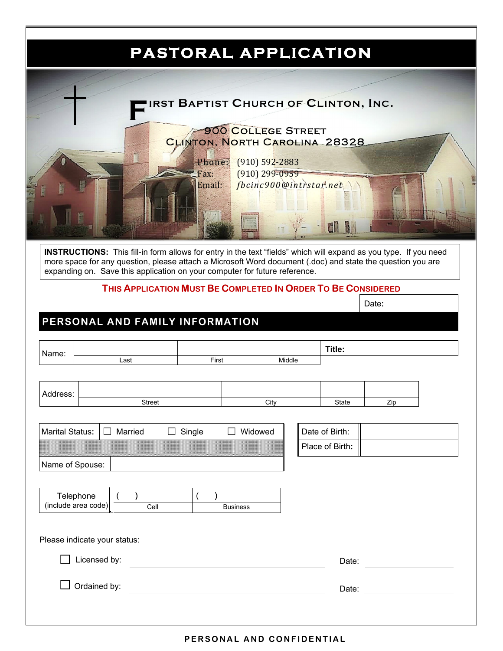

## **PERSONAL AND CONFIDENTIAL**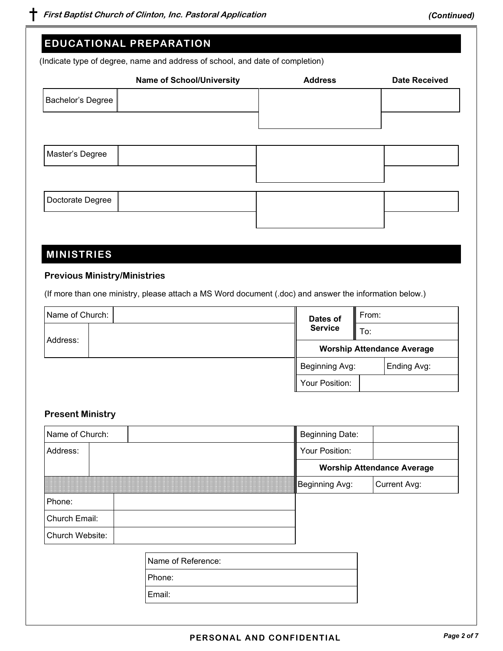|                                     | <b>Name of School/University</b>                                                                       | <b>Address</b>         | <b>Date Received</b>              |
|-------------------------------------|--------------------------------------------------------------------------------------------------------|------------------------|-----------------------------------|
| Bachelor's Degree                   |                                                                                                        |                        |                                   |
|                                     |                                                                                                        |                        |                                   |
| Master's Degree                     |                                                                                                        |                        |                                   |
| Doctorate Degree                    |                                                                                                        |                        |                                   |
|                                     |                                                                                                        |                        |                                   |
| <b>MINISTRIES</b>                   |                                                                                                        |                        |                                   |
| <b>Previous Ministry/Ministries</b> |                                                                                                        |                        |                                   |
|                                     | (If more than one ministry, please attach a MS Word document (.doc) and answer the information below.) |                        |                                   |
| Name of Church:                     |                                                                                                        | Dates of               | From:                             |
| Address:                            |                                                                                                        | <b>Service</b>         | To:                               |
|                                     |                                                                                                        |                        | <b>Worship Attendance Average</b> |
|                                     |                                                                                                        | Beginning Avg:         | Ending Avg:                       |
|                                     |                                                                                                        | Your Position:         |                                   |
| <b>Present Ministry</b>             |                                                                                                        |                        |                                   |
| Name of Church:                     |                                                                                                        | <b>Beginning Date:</b> |                                   |
| Address:                            |                                                                                                        | Your Position:         |                                   |
|                                     |                                                                                                        |                        | <b>Worship Attendance Average</b> |
|                                     |                                                                                                        | Beginning Avg:         | <b>Current Avg:</b>               |
|                                     |                                                                                                        |                        |                                   |
| Phone:                              |                                                                                                        |                        |                                   |
|                                     |                                                                                                        |                        |                                   |
|                                     |                                                                                                        |                        |                                   |
|                                     | Name of Reference:                                                                                     |                        |                                   |
| Church Email:<br>Church Website:    | Phone:                                                                                                 |                        |                                   |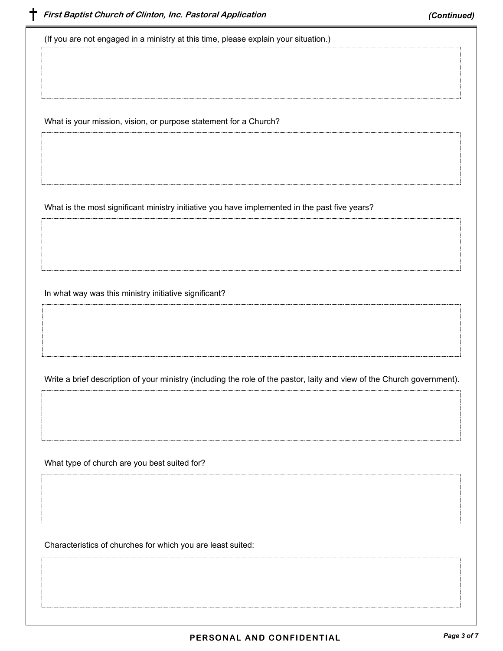(If you are not engaged in a ministry at this time, please explain your situation.)

What is your mission, vision, or purpose statement for a Church?

What is the most significant ministry initiative you have implemented in the past five years?

In what way was this ministry initiative significant?

Write a brief description of your ministry (including the role of the pastor, laity and view of the Church government).

What type of church are you best suited for?

Characteristics of churches for which you are least suited: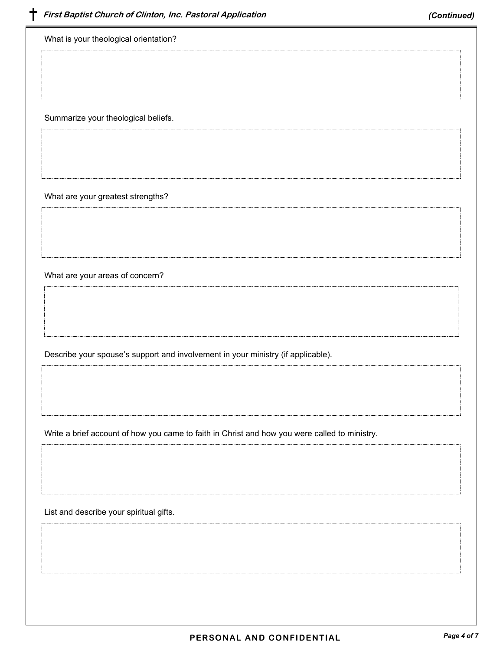What is your theological orientation?

Summarize your theological beliefs.

What are your greatest strengths?

What are your areas of concern?

Describe your spouse's support and involvement in your ministry (if applicable).

Write a brief account of how you came to faith in Christ and how you were called to ministry.

List and describe your spiritual gifts.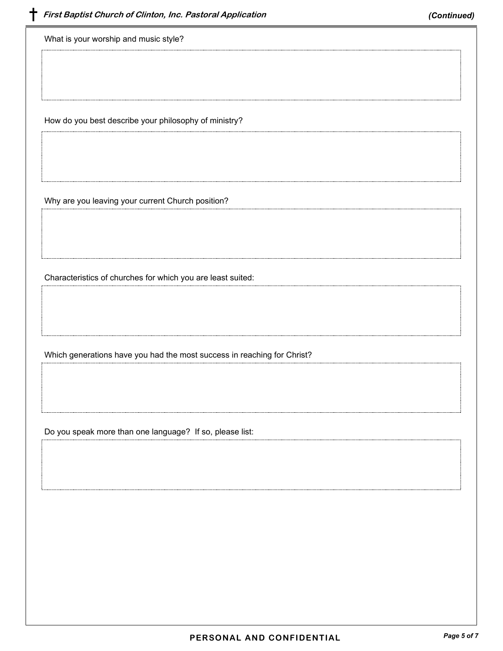What is your worship and music style?

How do you best describe your philosophy of ministry?

Why are you leaving your current Church position?

Characteristics of churches for which you are least suited:

Which generations have you had the most success in reaching for Christ?

Do you speak more than one language? If so, please list: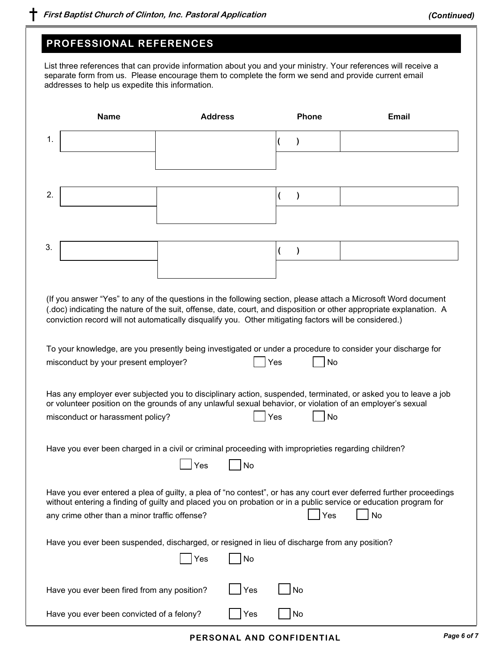## **PROFESSIONAL REFERENCES**

List three references that can provide information about you and your ministry. Your references will receive a separate form from us. Please encourage them to complete the form we send and provide current email addresses to help us expedite this information.

|    | <b>Name</b>                                                                                                                                    | <b>Address</b> |     | <b>Phone</b> | <b>Email</b>                                                                                                                                                                                                                                        |
|----|------------------------------------------------------------------------------------------------------------------------------------------------|----------------|-----|--------------|-----------------------------------------------------------------------------------------------------------------------------------------------------------------------------------------------------------------------------------------------------|
| 1. |                                                                                                                                                |                |     | )            |                                                                                                                                                                                                                                                     |
|    |                                                                                                                                                |                |     |              |                                                                                                                                                                                                                                                     |
| 2. |                                                                                                                                                |                |     | $\mathcal Y$ |                                                                                                                                                                                                                                                     |
|    |                                                                                                                                                |                |     |              |                                                                                                                                                                                                                                                     |
|    |                                                                                                                                                |                |     |              |                                                                                                                                                                                                                                                     |
| 3. |                                                                                                                                                |                |     |              |                                                                                                                                                                                                                                                     |
|    |                                                                                                                                                |                |     |              |                                                                                                                                                                                                                                                     |
|    | conviction record will not automatically disqualify you. Other mitigating factors will be considered.)                                         |                |     |              | (If you answer "Yes" to any of the questions in the following section, please attach a Microsoft Word document<br>(.doc) indicating the nature of the suit, offense, date, court, and disposition or other appropriate explanation. A               |
|    | misconduct by your present employer?                                                                                                           |                | Yes | No           | To your knowledge, are you presently being investigated or under a procedure to consider your discharge for                                                                                                                                         |
|    | or volunteer position on the grounds of any unlawful sexual behavior, or violation of an employer's sexual<br>misconduct or harassment policy? |                | Yes | No           | Has any employer ever subjected you to disciplinary action, suspended, terminated, or asked you to leave a job                                                                                                                                      |
|    | Have you ever been charged in a civil or criminal proceeding with improprieties regarding children?                                            | Yes            | No  |              |                                                                                                                                                                                                                                                     |
|    | any crime other than a minor traffic offense?                                                                                                  |                |     | Yes          | Have you ever entered a plea of guilty, a plea of "no contest", or has any court ever deferred further proceedings<br>without entering a finding of guilty and placed you on probation or in a public service or education program for<br><b>No</b> |
|    | Have you ever been suspended, discharged, or resigned in lieu of discharge from any position?                                                  |                |     |              |                                                                                                                                                                                                                                                     |
|    |                                                                                                                                                | Yes            | No  |              |                                                                                                                                                                                                                                                     |
|    | Have you ever been fired from any position?                                                                                                    |                | Yes | No           |                                                                                                                                                                                                                                                     |
|    | Have you ever been convicted of a felony?                                                                                                      |                | Yes | No           |                                                                                                                                                                                                                                                     |